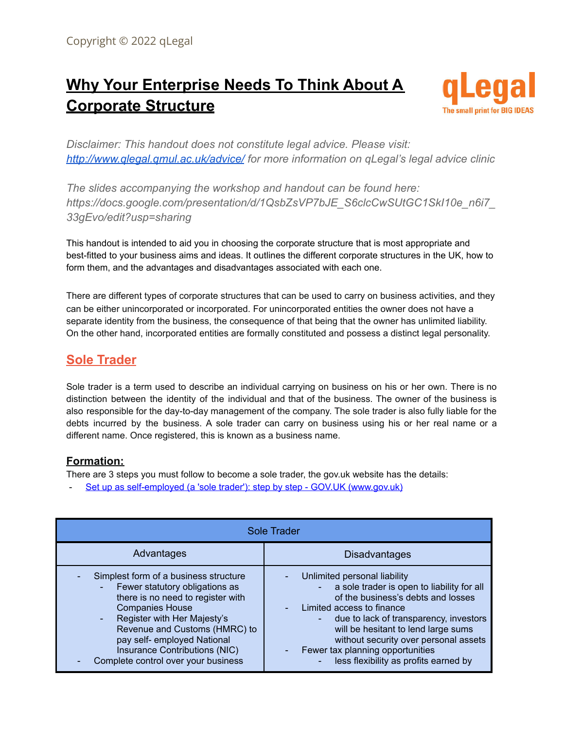# **Why Your Enterprise Needs To Think About A Corporate Structure**



*Disclaimer: This handout does not constitute legal advice. Please visit: <http://www.qlegal.qmul.ac.uk/advice/> for more information on qLegal's legal advice clinic*

*The slides accompanying the workshop and handout can be found here: https://docs.google.com/presentation/d/1QsbZsVP7bJE\_S6clcCwSUtGC1SkI10e\_n6i7\_ 33gEvo/edit?usp=sharing*

This handout is intended to aid you in choosing the corporate structure that is most appropriate and best-fitted to your business aims and ideas. It outlines the different corporate structures in the UK, how to form them, and the advantages and disadvantages associated with each one.

There are different types of corporate structures that can be used to carry on business activities, and they can be either unincorporated or incorporated. For unincorporated entities the owner does not have a separate identity from the business, the consequence of that being that the owner has unlimited liability. On the other hand, incorporated entities are formally constituted and possess a distinct legal personality.

# **Sole Trader**

Sole trader is a term used to describe an individual carrying on business on his or her own. There is no distinction between the identity of the individual and that of the business. The owner of the business is also responsible for the day-to-day management of the company. The sole trader is also fully liable for the debts incurred by the business. A sole trader can carry on business using his or her real name or a different name. Once registered, this is known as a business name.

### **Formation:**

There are 3 steps you must follow to become a sole trader, the gov.uk website has the details:

Set up as self-employed (a 'sole trader'): step by step - GOV.UK [\(www.gov.uk](http://www.gov.uk)[\)](https://www.gov.uk/set-up-self-employed)

| <b>Sole Trader</b>                                                                                                                                                                                                                                                                                                                        |                                                                                                                                                                                                                                                                                                                                                      |  |
|-------------------------------------------------------------------------------------------------------------------------------------------------------------------------------------------------------------------------------------------------------------------------------------------------------------------------------------------|------------------------------------------------------------------------------------------------------------------------------------------------------------------------------------------------------------------------------------------------------------------------------------------------------------------------------------------------------|--|
| Advantages                                                                                                                                                                                                                                                                                                                                | <b>Disadvantages</b>                                                                                                                                                                                                                                                                                                                                 |  |
| Simplest form of a business structure<br>Fewer statutory obligations as<br>$\blacksquare$<br>there is no need to register with<br><b>Companies House</b><br>Register with Her Majesty's<br>$\sim$<br>Revenue and Customs (HMRC) to<br>pay self- employed National<br>Insurance Contributions (NIC)<br>Complete control over your business | Unlimited personal liability<br>a sole trader is open to liability for all<br>of the business's debts and losses<br>Limited access to finance<br>due to lack of transparency, investors<br>will be hesitant to lend large sums<br>without security over personal assets<br>Fewer tax planning opportunities<br>less flexibility as profits earned by |  |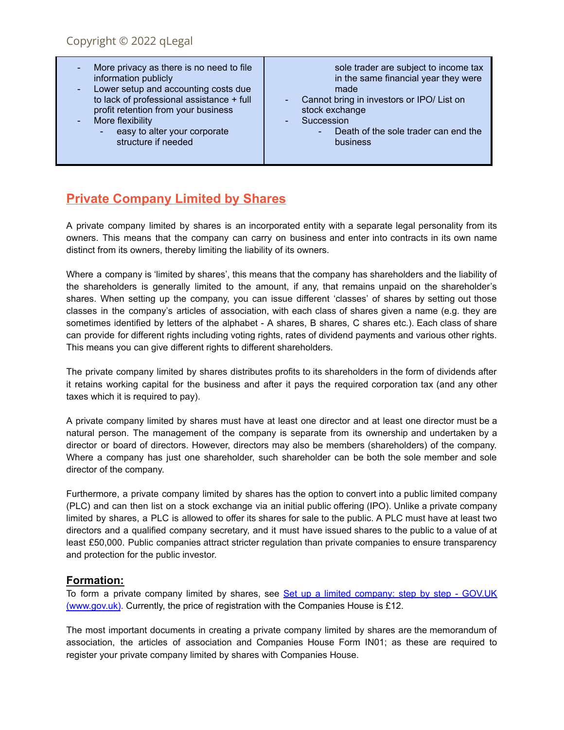- More privacy as there is no need to file information publicly
- Lower setup and accounting costs due to lack of professional assistance + full profit retention from your business More flexibility
	- easy to alter your corporate structure if needed

sole trader are subject to income tax in the same financial year they were made

- Cannot bring in investors or IPO/ List on stock exchange
- **Succession** 
	- Death of the sole trader can end the business

# **Private Company Limited by Shares**

A private company limited by shares is an incorporated entity with a separate legal personality from its owners. This means that the company can carry on business and enter into contracts in its own name distinct from its owners, thereby limiting the liability of its owners.

Where a company is 'limited by shares', this means that the company has shareholders and the liability of the shareholders is generally limited to the amount, if any, that remains unpaid on the shareholder's shares. When setting up the company, you can issue different 'classes' of shares by setting out those classes in the company's articles of association, with each class of shares given a name (e.g. they are sometimes identified by letters of the alphabet - A shares, B shares, C shares etc.). Each class of share can provide for different rights including voting rights, rates of dividend payments and various other rights. This means you can give different rights to different shareholders.

The private company limited by shares distributes profits to its shareholders in the form of dividends after it retains working capital for the business and after it pays the required corporation tax (and any other taxes which it is required to pay).

A private company limited by shares must have at least one director and at least one director must be a natural person. The management of the company is separate from its ownership and undertaken by a director or board of directors. However, directors may also be members (shareholders) of the company. Where a company has just one shareholder, such shareholder can be both the sole member and sole director of the company.

Furthermore, a private company limited by shares has the option to convert into a public limited company (PLC) and can then list on a stock exchange via an initial public offering (IPO). Unlike a private company limited by shares, a PLC is allowed to offer its shares for sale to the public. A PLC must have at least two directors and a qualified company secretary, and it must have issued shares to the public to a value of at least £50,000. Public companies attract stricter regulation than private companies to ensure transparency and protection for the public investor.

#### **Formation:**

To form a private company limited by shares, see Set up a limited [company:](https://www.gov.uk/set-up-limited-company) step by step - GOV.UK [\(](https://www.gov.uk/set-up-limited-company)[www.gov.uk](http://www.gov.uk)[\)](https://www.gov.uk/set-up-limited-company). Currently, the price of registration with the Companies House is £12.

The most important documents in creating a private company limited by shares are the memorandum of association, the articles of association and Companies House Form IN01; as these are required to register your private company limited by shares with Companies House.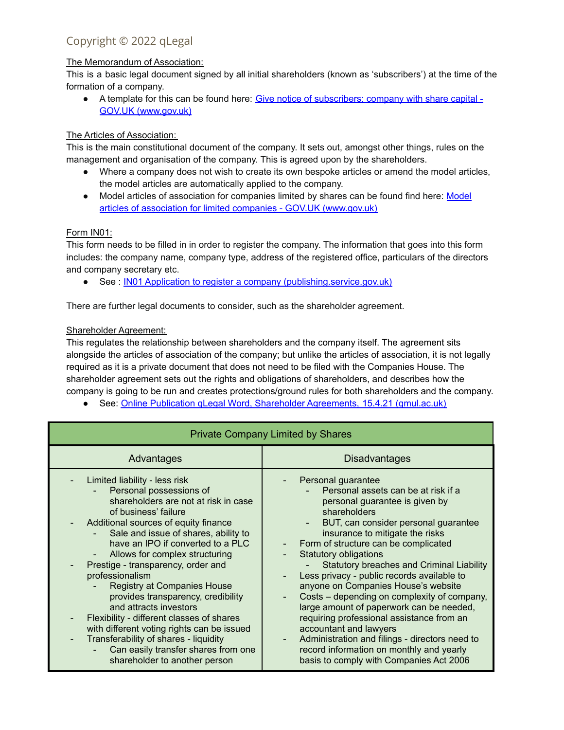## Copyright © 2022 qLegal

#### The Memorandum of Association:

This is a basic legal document signed by all initial shareholders (known as 'subscribers') at the time of the formation of a company.

● A template for this can be found here: Give notice of [subscribers:](https://www.gov.uk/government/publications/give-notice-of-subscribers-company-with-share-capital) company with share capital -[GOV.UK](https://www.gov.uk/government/publications/give-notice-of-subscribers-company-with-share-capital) [\(www.gov.uk](http://www.gov.uk)[\)](https://www.gov.uk/government/publications/give-notice-of-subscribers-company-with-share-capital)

#### The Articles of Association:

This is the main constitutional document of the company. It sets out, amongst other things, rules on the management and organisation of the company. This is agreed upon by the shareholders.

- Where a company does not wish to create its own bespoke articles or amend the model articles, the model articles are automatically applied to the company.
- [Model](https://www.gov.uk/guidance/model-articles-of-association-for-limited-companies) articles of association for companies limited by shares can be found find here: Model articles of association for limited companies - GOV.UK [\(www.gov.uk\)](https://www.gov.uk/guidance/model-articles-of-association-for-limited-companies)

#### Form IN01:

This form needs to be filled in in order to register the company. The information that goes into this form includes: the company name, company type, address of the registered office, particulars of the directors and company secretary etc.

● See : IN01 Application to register a company [\(publishing.service.gov.uk\)](https://assets.publishing.service.gov.uk/government/uploads/system/uploads/attachment_data/file/946155/IN01-V8.0.pdf)

There are further legal documents to consider, such as the shareholder agreement.

#### Shareholder Agreement:

This regulates the relationship between shareholders and the company itself. The agreement sits alongside the articles of association of the company; but unlike the articles of association, it is not legally required as it is a private document that does not need to be filed with the Companies House. The shareholder agreement sets out the rights and obligations of shareholders, and describes how the company is going to be run and creates protections/ground rules for both shareholders and the company.

● See: Online Publication gLegal Word, Shareholder [Agreements,](http://www.qlegal.qmul.ac.uk/media/qlegal/docs/Introduction-to-Shareholder-Agreements.pdf) 15.4.21 (gmul.ac.uk)

| <b>Private Company Limited by Shares</b>                                                                                                                                                                                                                                                                                                                                                                                                                                                                                                                                                                                                                   |                                                                                                                                                                                                                                                                                                                                                                                                                                                                                                                                                                                                                                                                                                                    |  |
|------------------------------------------------------------------------------------------------------------------------------------------------------------------------------------------------------------------------------------------------------------------------------------------------------------------------------------------------------------------------------------------------------------------------------------------------------------------------------------------------------------------------------------------------------------------------------------------------------------------------------------------------------------|--------------------------------------------------------------------------------------------------------------------------------------------------------------------------------------------------------------------------------------------------------------------------------------------------------------------------------------------------------------------------------------------------------------------------------------------------------------------------------------------------------------------------------------------------------------------------------------------------------------------------------------------------------------------------------------------------------------------|--|
| Advantages                                                                                                                                                                                                                                                                                                                                                                                                                                                                                                                                                                                                                                                 | <b>Disadvantages</b>                                                                                                                                                                                                                                                                                                                                                                                                                                                                                                                                                                                                                                                                                               |  |
| Limited liability - less risk<br>Personal possessions of<br>shareholders are not at risk in case<br>of business' failure<br>Additional sources of equity finance<br>Sale and issue of shares, ability to<br>have an IPO if converted to a PLC<br>Allows for complex structuring<br>Prestige - transparency, order and<br>professionalism<br><b>Registry at Companies House</b><br>provides transparency, credibility<br>and attracts investors<br>Flexibility - different classes of shares<br>with different voting rights can be issued<br>Transferability of shares - liquidity<br>Can easily transfer shares from one<br>shareholder to another person | Personal guarantee<br>Personal assets can be at risk if a<br>personal guarantee is given by<br>shareholders<br>BUT, can consider personal guarantee<br>insurance to mitigate the risks<br>Form of structure can be complicated<br><b>Statutory obligations</b><br><b>Statutory breaches and Criminal Liability</b><br>Less privacy - public records available to<br>anyone on Companies House's website<br>Costs – depending on complexity of company,<br>large amount of paperwork can be needed,<br>requiring professional assistance from an<br>accountant and lawyers<br>Administration and filings - directors need to<br>record information on monthly and yearly<br>basis to comply with Companies Act 2006 |  |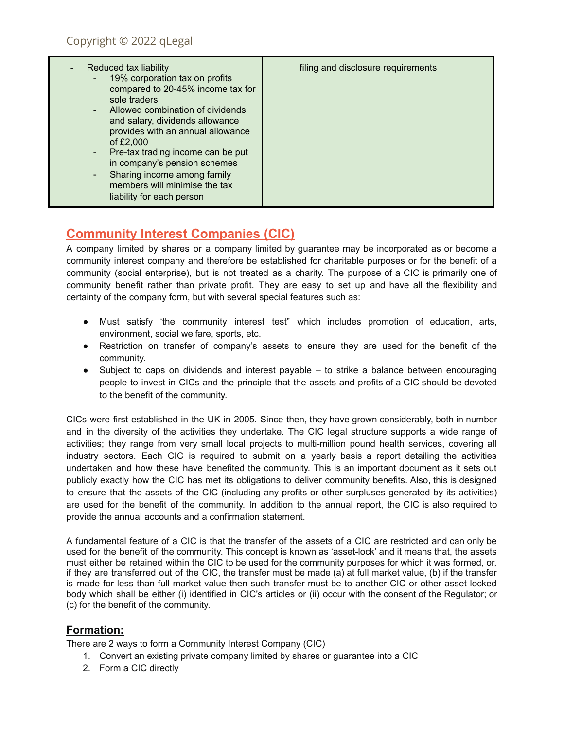| Reduced tax liability<br>19% corporation tax on profits<br>compared to 20-45% income tax for<br>sole traders<br>Allowed combination of dividends<br>and salary, dividends allowance<br>provides with an annual allowance<br>of £2,000<br>Pre-tax trading income can be put<br>$\overline{\phantom{a}}$<br>in company's pension schemes<br>Sharing income among family<br>۰<br>members will minimise the tax<br>liability for each person | filing and disclosure requirements |
|------------------------------------------------------------------------------------------------------------------------------------------------------------------------------------------------------------------------------------------------------------------------------------------------------------------------------------------------------------------------------------------------------------------------------------------|------------------------------------|
|------------------------------------------------------------------------------------------------------------------------------------------------------------------------------------------------------------------------------------------------------------------------------------------------------------------------------------------------------------------------------------------------------------------------------------------|------------------------------------|

# **Community Interest Companies (CIC)**

A company limited by shares or a company limited by guarantee may be incorporated as or become a community interest company and therefore be established for charitable purposes or for the benefit of a community (social enterprise), but is not treated as a charity. The purpose of a CIC is primarily one of community benefit rather than private profit. They are easy to set up and have all the flexibility and certainty of the company form, but with several special features such as:

- Must satisfy 'the community interest test" which includes promotion of education, arts, environment, social welfare, sports, etc.
- Restriction on transfer of company's assets to ensure they are used for the benefit of the community.
- Subject to caps on dividends and interest payable to strike a balance between encouraging people to invest in CICs and the principle that the assets and profits of a CIC should be devoted to the benefit of the community.

CICs were first established in the UK in 2005. Since then, they have grown considerably, both in number and in the diversity of the activities they undertake. The CIC legal structure supports a wide range of activities; they range from very small local projects to multi-million pound health services, covering all industry sectors. Each CIC is required to submit on a yearly basis a report detailing the activities undertaken and how these have benefited the community. This is an important document as it sets out publicly exactly how the CIC has met its obligations to deliver community benefits. Also, this is designed to ensure that the assets of the CIC (including any profits or other surpluses generated by its activities) are used for the benefit of the community. In addition to the annual report, the CIC is also required to provide the annual accounts and a confirmation statement.

A fundamental feature of a CIC is that the transfer of the assets of a CIC are restricted and can only be used for the benefit of the community. This concept is known as 'asset-lock' and it means that, the assets must either be retained within the CIC to be used for the community purposes for which it was formed, or, if they are transferred out of the CIC, the transfer must be made (a) at full market value, (b) if the transfer is made for less than full market value then such transfer must be to another CIC or other asset locked body which shall be either (i) identified in CIC's articles or (ii) occur with the consent of the Regulator; or (c) for the benefit of the community.

### **Formation:**

There are 2 ways to form a Community Interest Company (CIC)

- 1. Convert an existing private company limited by shares or guarantee into a CIC
- 2. Form a CIC directly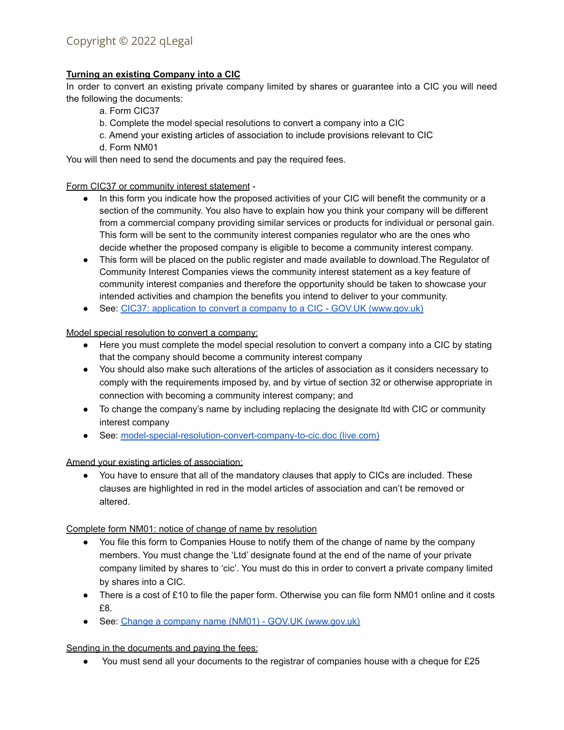#### **Turning an existing Company into a CIC**

In order to convert an existing private company limited by shares or guarantee into a CIC you will need the following the documents:

- a. Form CIC37
- b. Complete the model special resolutions to convert a company into a CIC
- c. Amend your existing articles of association to include provisions relevant to CIC
- d. Form NM01

You will then need to send the documents and pay the required fees.

#### Form CIC37 or community interest statement -

- In this form you indicate how the proposed activities of your CIC will benefit the community or a section of the community. You also have to explain how you think your company will be different from a commercial company providing similar services or products for individual or personal gain. This form will be sent to the community interest companies regulator who are the ones who decide whether the proposed company is eligible to become a community interest company.
- This form will be placed on the public register and made available to download. The Regulator of Community Interest Companies views the community interest statement as a key feature of community interest companies and therefore the opportunity should be taken to showcase your intended activities and champion the benefits you intend to deliver to your community.
- See: CIC37: application to convert a company to a CIC GOV.UK [\(www.gov.uk\)](https://www.gov.uk/government/publications/form-cic37-application-to-convert-a-company-to-a-cic)

#### Model special resolution to convert a company:

- Here you must complete the model special resolution to convert a company into a CIC by stating that the company should become a community interest company
- You should also make such alterations of the articles of association as it considers necessary to comply with the requirements imposed by, and by virtue of section 32 or otherwise appropriate in connection with becoming a community interest company; and
- To change the company's name by including replacing the designate ltd with CIC or community interest company
- See: [model-special-resolution-convert-company-to-cic.doc](https://view.officeapps.live.com/op/view.aspx?src=https%3A%2F%2Fassets.publishing.service.gov.uk%2Fgovernment%2Fuploads%2Fsystem%2Fuploads%2Fattachment_data%2Ffile%2F596331%2Fmodel-special-resolution-convert-company-to-cic.doc&wdOrigin=BROWSELINK) (live.com)

#### Amend your existing articles of association:

• You have to ensure that all of the mandatory clauses that apply to CICs are included. These clauses are highlighted in red in the model articles of association and can't be removed or altered.

#### Complete form NM01: notice of change of name by resolution

- You file this form to Companies House to notify them of the change of name by the company members. You must change the 'Ltd' designate found at the end of the name of your private company limited by shares to 'cic'. You must do this in order to convert a private company limited by shares into a CIC.
- There is a cost of £10 to file the paper form. Otherwise you can file form NM01 online and it costs £8.
- See: Change a company name (NM01) GOV.UK [\(www.gov.uk\)](https://www.gov.uk/government/publications/change-a-company-name-nm01)

#### Sending in the documents and paying the fees:

• You must send all your documents to the registrar of companies house with a cheque for £25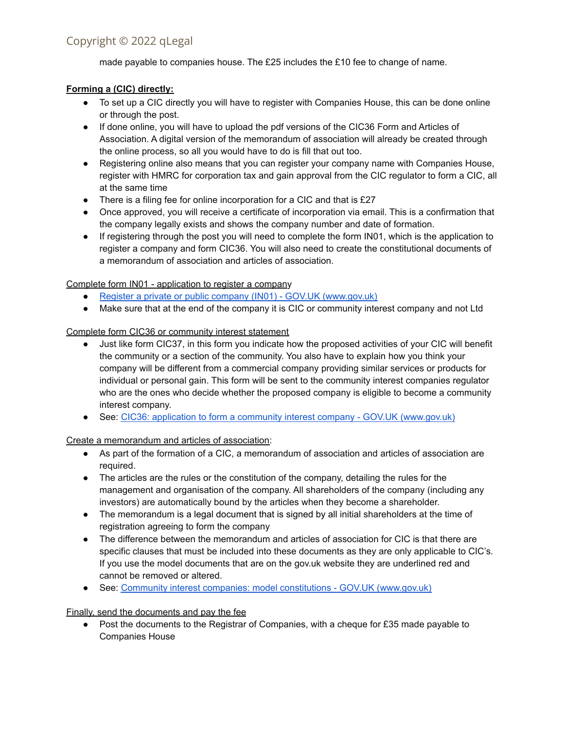### Copyright © 2022 qLegal

made payable to companies house. The £25 includes the £10 fee to change of name.

#### **Forming a (CIC) directly:**

- To set up a CIC directly you will have to register with Companies House, this can be done online or through the post.
- If done online, you will have to upload the pdf versions of the CIC36 Form and Articles of Association. A digital version of the memorandum of association will already be created through the online process, so all you would have to do is fill that out too.
- Registering online also means that you can register your company name with Companies House, register with HMRC for corporation tax and gain approval from the CIC regulator to form a CIC, all at the same time
- There is a filing fee for online incorporation for a CIC and that is £27
- Once approved, you will receive a certificate of incorporation via email. This is a confirmation that the company legally exists and shows the company number and date of formation.
- If registering through the post you will need to complete the form IN01, which is the application to register a company and form CIC36. You will also need to create the constitutional documents of a memorandum of association and articles of association.

#### Complete form IN01 - application to register a company

- Register a private or public [company](https://www.gov.uk/government/publications/register-a-private-or-public-company-in01) (IN01) GOV.UK ([www.gov.uk](http://www.gov.uk)[\)](https://www.gov.uk/government/publications/register-a-private-or-public-company-in01)
- Make sure that at the end of the company it is CIC or community interest company and not Ltd

#### Complete form CIC36 or community interest statement

- Just like form CIC37, in this form you indicate how the proposed activities of your CIC will benefit the community or a section of the community. You also have to explain how you think your company will be different from a commercial company providing similar services or products for individual or personal gain. This form will be sent to the community interest companies regulator who are the ones who decide whether the proposed company is eligible to become a community interest company.
- See: CIC36: application to form a community interest company GOV.UK [\(www.gov.uk\)](https://www.gov.uk/government/publications/form-cic36-application-to-form-a-community-interest-company)

#### Create a memorandum and articles of association:

- As part of the formation of a CIC, a memorandum of association and articles of association are required.
- The articles are the rules or the constitution of the company, detailing the rules for the management and organisation of the company. All shareholders of the company (including any investors) are automatically bound by the articles when they become a shareholder.
- The memorandum is a legal document that is signed by all initial shareholders at the time of registration agreeing to form the company
- The difference between the memorandum and articles of association for CIC is that there are specific clauses that must be included into these documents as they are only applicable to CIC's. If you use the model documents that are on the gov.uk website they are underlined red and cannot be removed or altered.
- See: Community interest companies: model [constitutions](https://www.gov.uk/government/publications/community-interest-companies-constitutions) GOV.UK ([www.gov.uk](http://www.gov.uk)[\)](https://www.gov.uk/government/publications/community-interest-companies-constitutions)

#### Finally, send the documents and pay the fee

● Post the documents to the Registrar of Companies, with a cheque for £35 made payable to Companies House